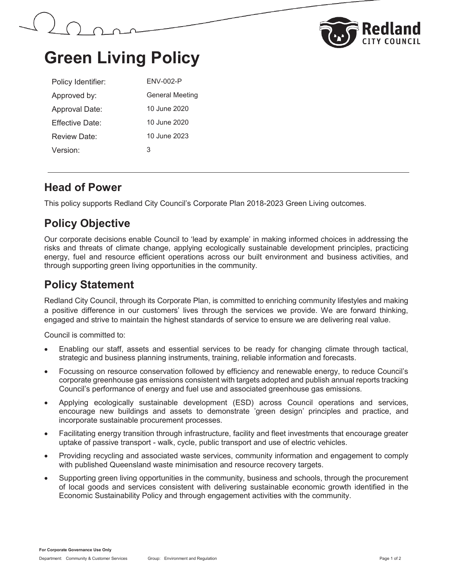



# **Green Living Policy**

| Policy Identifier:   | <b>ENV-002-P</b>       |
|----------------------|------------------------|
| Approved by:         | <b>General Meeting</b> |
| Approval Date:       | 10 June 2020           |
| Fffective Date:      | 10 June 2020           |
| Review Date:         | 10 June 2023           |
| Version <sup>.</sup> | З                      |

#### **Head of Power**

This policy supports Redland City Council's Corporate Plan 2018-2023 Green Living outcomes.

## **Policy Objective**

Our corporate decisions enable Council to 'lead by example' in making informed choices in addressing the risks and threats of climate change, applying ecologically sustainable development principles, practicing energy, fuel and resource efficient operations across our built environment and business activities, and through supporting green living opportunities in the community.

## **Policy Statement**

Redland City Council, through its Corporate Plan, is committed to enriching community lifestyles and making a positive difference in our customers' lives through the services we provide. We are forward thinking, engaged and strive to maintain the highest standards of service to ensure we are delivering real value.

Council is committed to:

- Enabling our staff, assets and essential services to be ready for changing climate through tactical, strategic and business planning instruments, training, reliable information and forecasts.
- Focussing on resource conservation followed by efficiency and renewable energy, to reduce Council's corporate greenhouse gas emissions consistent with targets adopted and publish annual reports tracking Council's performance of energy and fuel use and associated greenhouse gas emissions.
- Applying ecologically sustainable development (ESD) across Council operations and services, encourage new buildings and assets to demonstrate 'green design' principles and practice, and incorporate sustainable procurement processes.
- Facilitating energy transition through infrastructure, facility and fleet investments that encourage greater uptake of passive transport - walk, cycle, public transport and use of electric vehicles.
- Providing recycling and associated waste services, community information and engagement to comply with published Queensland waste minimisation and resource recovery targets.
- Supporting green living opportunities in the community, business and schools, through the procurement of local goods and services consistent with delivering sustainable economic growth identified in the Economic Sustainability Policy and through engagement activities with the community.